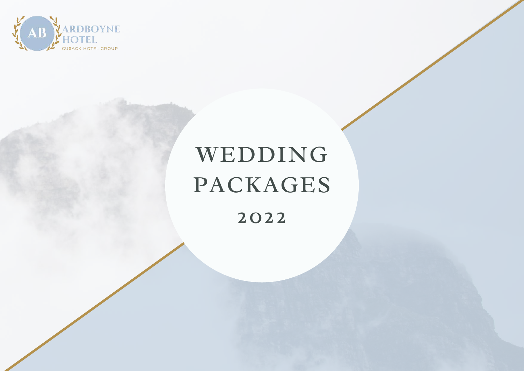

## WEDDING PACKAGES

2022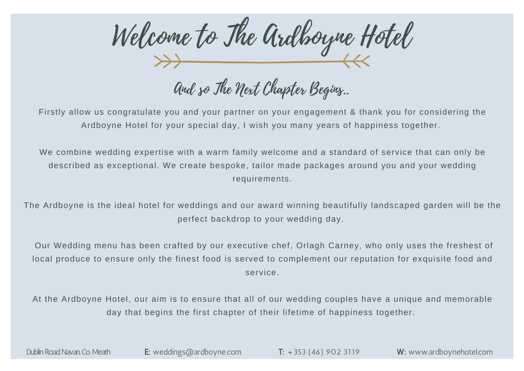Welcome to The Ardboyne Hotel

and so the next Chapter Begins..

Firstly allow us congratulate you and your partner on your engagement & thank you for considering the Ardboyne Hotel for your special day, I wish you many years of happiness together.

We combine wedding expertise with a warm family welcome and a standard of service that can only be described as exceptional. We create bespoke, tailor made packages around you and your wedding requirements.

The Ardboyne is the ideal hotel for weddings and our award winning beautifully landscaped garden will be the perfect backdrop to your wedding day.

Our Wedding menu has been crafted by our executive chef, Orlagh Carney, who only uses the freshest of local produce to ensure only the finest food is served to complement our reputation for exquisite food and service.

At the Ardboyne Hotel, our aim is to ensure that all of our wedding couples have a unique and memorable day that begins the first chapter of their lifetime of happiness together.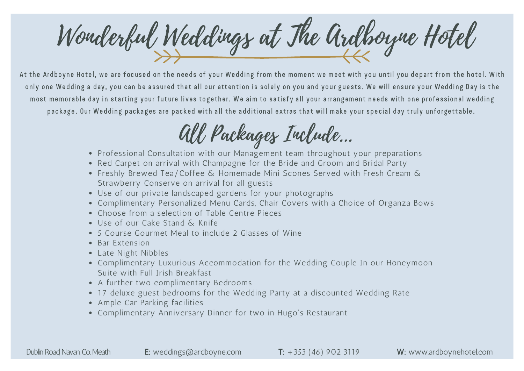Wonderful Weddings at The Ardboyne Hotel

At the Ardboyne Hotel, we are focused on the needs of your Wedding from the moment we meet with you until you depart from the hotel. With only one Wedding a day, you can be assured that all our attention is solely on you and your guests. We will ensure your Wedding Day is the most memorable day in starting your future lives together. We aim to satisfy all your arrangement needs with one professional wedding package. Our Wedding packages are packed with all the additional extras that will make your special day truly unforgettable.

## All Packages Include...

- Professional Consultation with our Management team throughout your preparations
- Red Carpet on arrival with Champagne for the Bride and Groom and Bridal Party
- Freshly Brewed Tea/Coffee & Homemade Mini Scones Served with Fresh Cream & Strawberry Conserve on arrival for all guests
- Use of our private landscaped gardens for your photographs
- Complimentary Personalized Menu Cards, Chair Covers with a Choice of Organza Bows
- Choose from a selection of Table Centre Pieces
- Use of our Cake Stand & Knife
- 5 Course Gourmet Meal to include 2 Glasses of Wine
- Bar Extension
- Late Night Nibbles
- Complimentary Luxurious Accommodation for the Wedding Couple In our Honeymoon Suite with Full Irish Breakfast
- A further two complimentary Bedrooms
- 17 deluxe guest bedrooms for the Wedding Party at a discounted Wedding Rate
- Ample Car Parking facilities
- Complimentary Anniversary Dinner for two in Hugo's Restaurant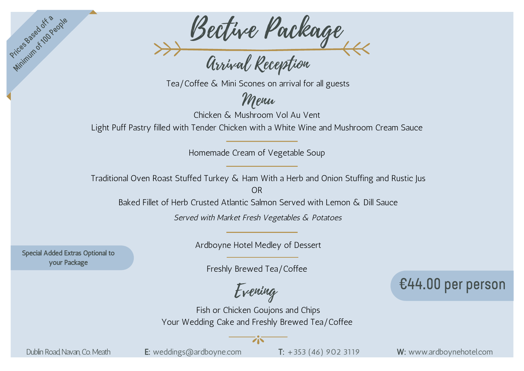

Tea/Coffee & Mini Scones on arrival for all guests

Menu

Chicken & Mushroom Vol Au Vent

Light Puff Pastry filled with Tender Chicken with a White Wine and Mushroom Cream Sauce

Homemade Cream of Vegetable Soup

Traditional Oven Roast Stuffed Turkey & Ham With a Herb and Onion Stuffing and Rustic Jus

OR

Baked Fillet of Herb Crusted Atlantic Salmon Served with Lemon & Dill Sauce

Served with Market Fresh Vegetables & Potatoes

Special Added Extras Optional to your Package

Prices assessing People

Ardboyne Hotel Medley of Dessert

Freshly Brewed Tea/Coffee

Evening

Fish or Chicken Goujons and Chips Your Wedding Cake and Freshly Brewed Tea/Coffee

ジベ

€44.00 per person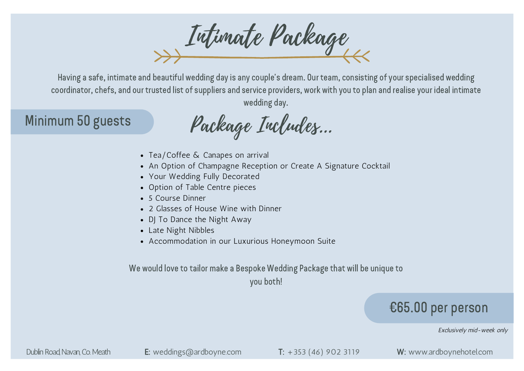Intimate Package

Having a safe, intimate and beautiful wedding day is any couple's dream. Our team, consisting of your specialised wedding coordinator, chefs, and our trusted list of suppliers and service providers, work with you to plan and realise your ideal intimate wedding day.

## Minimum 50 guests

Package Includes...

- Tea/Coffee & Canapes on arrival
- An Option of Champagne Reception or Create A Signature Cocktail
- Your Wedding Fully Decorated
- Option of Table Centre pieces
- 5 Course Dinner
- 2 Glasses of House Wine with Dinner
- DJ To Dance the Night Away
- Late Night Nibbles
- Accommodation in our Luxurious Honeymoon Suite

We would love to tailor make a Bespoke Wedding Package that will be unique to

you both!

## €65.00 per person

Exclusively mid-week only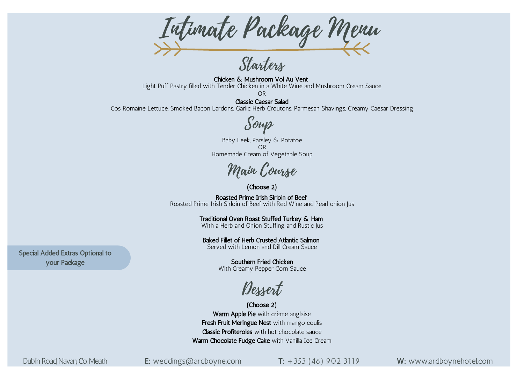Intimate Package Menu

Starters

Chicken & Mushroom Vol Au Vent Light Puff Pastry filled with Tender Chicken in a White Wine and Mushroom Cream Sauce OR

Classic Caesar Salad Cos Romaine Lettuce, Smoked Bacon Lardons, Garlic Herb Croutons, Parmesan Shavings, Creamy Caesar Dressing

Soup

Baby Leek, Parsley & Potatoe OR Homemade Cream of Vegetable Soup

Main Course

(Choose 2)

Roasted Prime Irish Sirloin of Beef Roasted Prime Irish Sirloin of Beef with Red Wine and Pearl onion Jus

> Traditional Oven Roast Stuffed Turkey & Ham With a Herb and Onion Stuffing and Rustic Jus

Baked Fillet of Herb Crusted Atlantic Salmon Served with Lemon and Dill Cream Sauce

Southern Fried Chicken With Creamy Pepper Corn Sauce

Dessert

(Choose 2) Warm Apple Pie with crème anglaise Fresh Fruit Meringue Nest with mango coulis Classic Profiteroles with hot chocolate sauce Warm Chocolate Fudge Cake with Vanilla Ice Cream

Special Added Extras Optional to your Package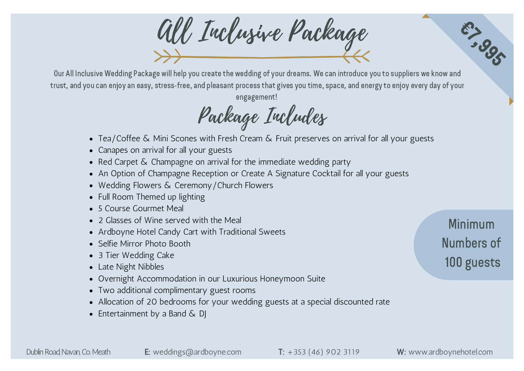All Inclusive Package

Our All Inclusive Wedding Package will help you create the wedding of your dreams. We can introduce you to suppliers we know and trust, and you can enjoy an easy, stress-free, and pleasant process that gives you time, space, and energy to enjoy every day of your engagement!

Package Includes

- Tea/Coffee & Mini Scones with Fresh Cream & Fruit preserves on arrival for all your guests
- Canapes on arrival for all your guests
- Red Carpet & Champagne on arrival for the immediate wedding party
- An Option of Champagne Reception or Create A Signature Cocktail for all your guests
- Wedding Flowers & Ceremony/Church Flowers
- Full Room Themed up lighting
- 5 Course Gourmet Meal
- 2 Glasses of Wine served with the Meal
- Ardboyne Hotel Candy Cart with Traditional Sweets
- Selfie Mirror Photo Booth
- 3 Tier Wedding Cake
- Late Night Nibbles
- Overnight Accommodation in our Luxurious Honeymoon Suite
- Two additional complimentary guest rooms
- Allocation of 20 bedrooms for your wedding guests at a special discounted rate
- Entertainment by a Band  $\&$  DJ

Minimum Numbers of 100 guests

**67,995**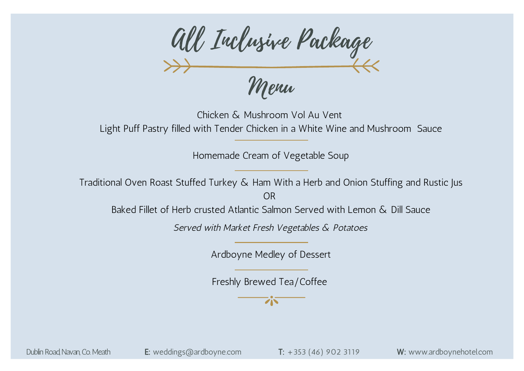All Inclusive Package Menu

Chicken & Mushroom Vol Au Vent Light Puff Pastry filled with Tender Chicken in a White Wine and Mushroom Sauce

Homemade Cream of Vegetable Soup

Traditional Oven Roast Stuffed Turkey & Ham With a Herb and Onion Stuffing and Rustic Jus OR

Baked Fillet of Herb crusted Atlantic Salmon Served with Lemon & Dill Sauce

Served with Market Fresh Vegetables & Potatoes

Ardboyne Medley of Dessert

Freshly Brewed Tea/Coffee

 $\overline{Z}$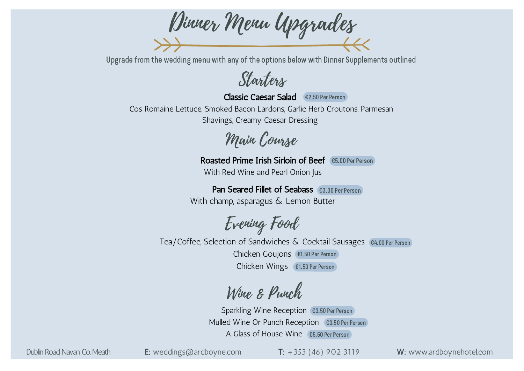Dinner Menu Upgrades

Upgrade from the wedding menu with any of the options below with Dinner Supplements outlined

Starters

Classic Caesar Salad €2.50 Per Person

Cos Romaine Lettuce, Smoked Bacon Lardons, Garlic Herb Croutons, Parmesan Shavings, Creamy Caesar Dressing

Main Course

Roasted Prime Irish Sirloin of Beef (€5.00 Per Person)

With Red Wine and Pearl Onion Jus

Pan Seared Fillet of Seabass €3.00 Per Person With champ, asparagus & Lemon Butter

Evening Food

Tea/Coffee, Selection of Sandwiches & Cocktail Sausages €4.00 Per Person Chicken Goujons €1.50 Per PersonChicken Wings €1.50 Per Person

Wine & Punch

Sparkling Wine Reception €3.50 Per Person Mulled Wine Or Punch Reception (€3.50 Per Person) A Glass of House Wine €5.50 Per Person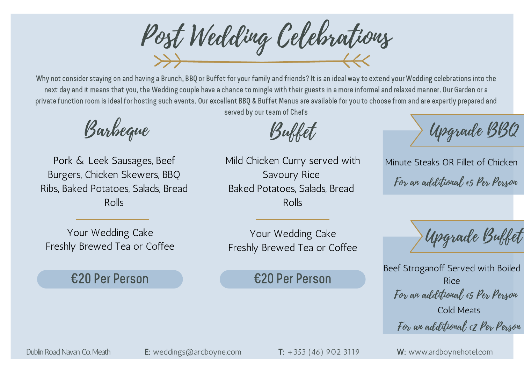Post Wedding Celebrations

Why not consider staying on and having a Brunch, BBQ or Buffet for your family and friends? It is an ideal way to extend your Wedding celebrations into the next day and it means that you, the Wedding couple have a chance to mingle with their guests in a more informal and relaxed manner. Our Garden or a private function room is ideal for hosting such events. Our excellent BBQ & Buffet Menus are available for you to choose from and are expertly prepared and

served by our team of Chefs

Barbeque

Pork & Leek Sausages, Beef Burgers, Chicken Skewers, BBQ Ribs, Baked Potatoes, Salads, Bread Rolls

Mild Chicken Curry served with Savoury Rice Baked Potatoes, Salads, Bread Rolls

Your Wedding Cake Freshly Brewed Tea or Coffee

Your Wedding Cake Freshly Brewed Tea or Coffee

€20 Per Person €20 Per Person

Upgrade BBQ

Minute Steaks OR Fillet of Chicken For an additional €5 Per Person

Upgrade Buffet

Beef Stroganoff Served with Boiled Rice For an additional €5 Per Person Cold Meats For an additional €2 Per Person